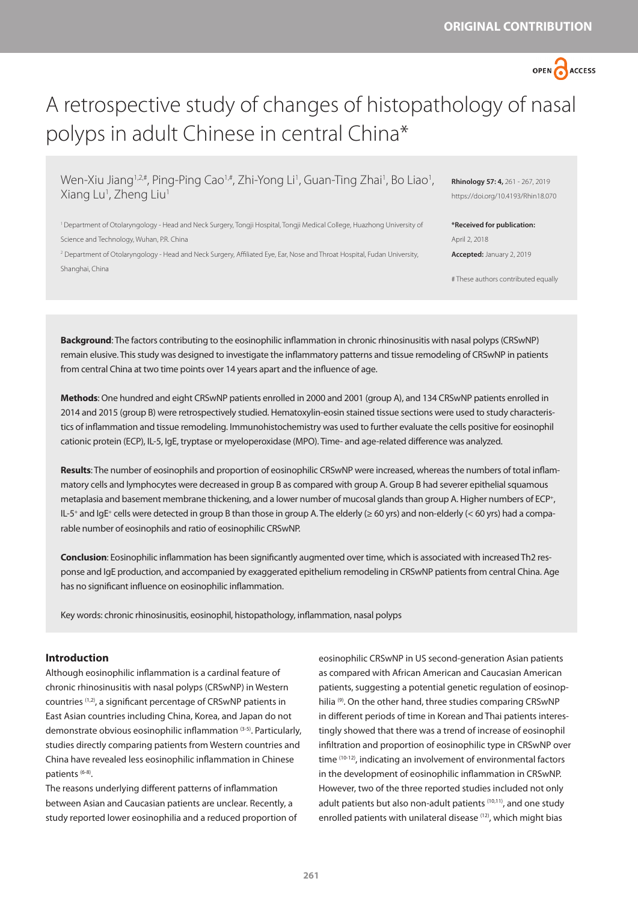

# A retrospective study of changes of histopathology of nasal polyps in adult Chinese in central China\*

Wen-Xiu Jiang<sup>1,2,#</sup>, Ping-Ping Cao<sup>1,#</sup>, Zhi-Yong Li<sup>1</sup>, Guan-Ting Zhai<sup>1</sup>, Bo Liao<sup>1</sup>, Xiang Lu<sup>1</sup>, Zheng Liu<sup>1</sup>

1 Department of Otolaryngology - Head and Neck Surgery, Tongji Hospital, Tongji Medical College, Huazhong University of Science and Technology, Wuhan, P.R. China

2 Department of Otolaryngology - Head and Neck Surgery, Affiliated Eye, Ear, Nose and Throat Hospital, Fudan University, Shanghai, China

**Rhinology 57: 4,** 261 - 267, 2019 https://doi.org/10.4193/Rhin18.070

**\*Received for publication:** April 2, 2018 **Accepted:** January 2, 2019

# These authors contributed equally

**Background**: The factors contributing to the eosinophilic inflammation in chronic rhinosinusitis with nasal polyps (CRSwNP) remain elusive. This study was designed to investigate the inflammatory patterns and tissue remodeling of CRSwNP in patients from central China at two time points over 14 years apart and the influence of age.

**Methods**: One hundred and eight CRSwNP patients enrolled in 2000 and 2001 (group A), and 134 CRSwNP patients enrolled in 2014 and 2015 (group B) were retrospectively studied. Hematoxylin-eosin stained tissue sections were used to study characteristics of inflammation and tissue remodeling. Immunohistochemistry was used to further evaluate the cells positive for eosinophil cationic protein (ECP), IL-5, IgE, tryptase or myeloperoxidase (MPO). Time- and age-related difference was analyzed.

**Results**: The number of eosinophils and proportion of eosinophilic CRSwNP were increased, whereas the numbers of total inflammatory cells and lymphocytes were decreased in group B as compared with group A. Group B had severer epithelial squamous metaplasia and basement membrane thickening, and a lower number of mucosal glands than group A. Higher numbers of ECP<sup>+</sup>, IL-5<sup>+</sup> and IgE<sup>+</sup> cells were detected in group B than those in group A. The elderly ( $\geq 60$  yrs) and non-elderly (< 60 yrs) had a comparable number of eosinophils and ratio of eosinophilic CRSwNP.

**Conclusion**: Eosinophilic inflammation has been significantly augmented over time, which is associated with increased Th2 response and IgE production, and accompanied by exaggerated epithelium remodeling in CRSwNP patients from central China. Age has no significant influence on eosinophilic inflammation.

Key words: chronic rhinosinusitis, eosinophil, histopathology, inflammation, nasal polyps

# **Introduction**

Although eosinophilic inflammation is a cardinal feature of chronic rhinosinusitis with nasal polyps (CRSwNP) in Western countries (1,2), a significant percentage of CRSwNP patients in East Asian countries including China, Korea, and Japan do not demonstrate obvious eosinophilic inflammation (3-5). Particularly, studies directly comparing patients from Western countries and China have revealed less eosinophilic inflammation in Chinese patients (6-8).

The reasons underlying different patterns of inflammation between Asian and Caucasian patients are unclear. Recently, a study reported lower eosinophilia and a reduced proportion of eosinophilic CRSwNP in US second-generation Asian patients as compared with African American and Caucasian American patients, suggesting a potential genetic regulation of eosinophilia<sup>(9)</sup>. On the other hand, three studies comparing CRSwNP in different periods of time in Korean and Thai patients interestingly showed that there was a trend of increase of eosinophil infiltration and proportion of eosinophilic type in CRSwNP over time (10-12), indicating an involvement of environmental factors in the development of eosinophilic inflammation in CRSwNP. However, two of the three reported studies included not only adult patients but also non-adult patients (10,11), and one study enrolled patients with unilateral disease (12), which might bias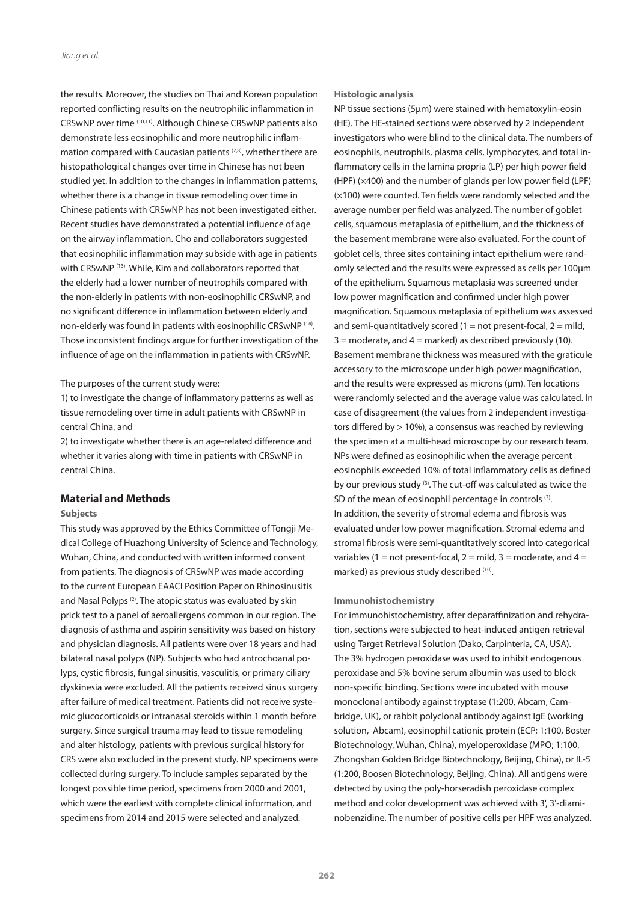the results. Moreover, the studies on Thai and Korean population reported conflicting results on the neutrophilic inflammation in CRSwNP over time (10,11). Although Chinese CRSwNP patients also demonstrate less eosinophilic and more neutrophilic inflammation compared with Caucasian patients  $(7,8)$ , whether there are histopathological changes over time in Chinese has not been studied yet. In addition to the changes in inflammation patterns, whether there is a change in tissue remodeling over time in Chinese patients with CRSwNP has not been investigated either. Recent studies have demonstrated a potential influence of age on the airway inflammation. Cho and collaborators suggested that eosinophilic inflammation may subside with age in patients with CRSwNP (13). While, Kim and collaborators reported that the elderly had a lower number of neutrophils compared with the non-elderly in patients with non-eosinophilic CRSwNP, and no significant difference in inflammation between elderly and non-elderly was found in patients with eosinophilic CRSwNP (14). Those inconsistent findings argue for further investigation of the influence of age on the inflammation in patients with CRSwNP.

## The purposes of the current study were:

1) to investigate the change of inflammatory patterns as well as tissue remodeling over time in adult patients with CRSwNP in central China, and

2) to investigate whether there is an age-related difference and whether it varies along with time in patients with CRSwNP in central China.

## **Material and Methods**

## **Subjects**

This study was approved by the Ethics Committee of Tongji Medical College of Huazhong University of Science and Technology, Wuhan, China, and conducted with written informed consent from patients. The diagnosis of CRSwNP was made according to the current European EAACI Position Paper on Rhinosinusitis and Nasal Polyps<sup>(2)</sup>. The atopic status was evaluated by skin prick test to a panel of aeroallergens common in our region. The diagnosis of asthma and aspirin sensitivity was based on history and physician diagnosis. All patients were over 18 years and had bilateral nasal polyps (NP). Subjects who had antrochoanal polyps, cystic fibrosis, fungal sinusitis, vasculitis, or primary ciliary dyskinesia were excluded. All the patients received sinus surgery after failure of medical treatment. Patients did not receive systemic glucocorticoids or intranasal steroids within 1 month before surgery. Since surgical trauma may lead to tissue remodeling and alter histology, patients with previous surgical history for CRS were also excluded in the present study. NP specimens were collected during surgery. To include samples separated by the longest possible time period, specimens from 2000 and 2001, which were the earliest with complete clinical information, and specimens from 2014 and 2015 were selected and analyzed.

#### **Histologic analysis**

NP tissue sections (5μm) were stained with hematoxylin-eosin (HE). The HE-stained sections were observed by 2 independent investigators who were blind to the clinical data. The numbers of eosinophils, neutrophils, plasma cells, lymphocytes, and total inflammatory cells in the lamina propria (LP) per high power field (HPF) (×400) and the number of glands per low power field (LPF) (×100) were counted. Ten fields were randomly selected and the average number per field was analyzed. The number of goblet cells, squamous metaplasia of epithelium, and the thickness of the basement membrane were also evaluated. For the count of goblet cells, three sites containing intact epithelium were randomly selected and the results were expressed as cells per 100μm of the epithelium. Squamous metaplasia was screened under low power magnification and confirmed under high power magnification. Squamous metaplasia of epithelium was assessed and semi-quantitatively scored (1 = not present-focal, 2 = mild,  $3 =$  moderate, and  $4 =$  marked) as described previously (10). Basement membrane thickness was measured with the graticule accessory to the microscope under high power magnification, and the results were expressed as microns (μm). Ten locations were randomly selected and the average value was calculated. In case of disagreement (the values from 2 independent investigators differed by > 10%), a consensus was reached by reviewing the specimen at a multi-head microscope by our research team. NPs were defined as eosinophilic when the average percent eosinophils exceeded 10% of total inflammatory cells as defined by our previous study (3). The cut-off was calculated as twice the SD of the mean of eosinophil percentage in controls (3). In addition, the severity of stromal edema and fibrosis was evaluated under low power magnification. Stromal edema and stromal fibrosis were semi-quantitatively scored into categorical variables (1 = not present-focal, 2 = mild, 3 = moderate, and 4 = marked) as previous study described (10).

#### **Immunohistochemistry**

For immunohistochemistry, after deparaffinization and rehydration, sections were subjected to heat-induced antigen retrieval using Target Retrieval Solution (Dako, Carpinteria, CA, USA). The 3% hydrogen peroxidase was used to inhibit endogenous peroxidase and 5% bovine serum albumin was used to block non-specific binding. Sections were incubated with mouse monoclonal antibody against tryptase (1:200, Abcam, Cambridge, UK), or rabbit polyclonal antibody against IgE (working solution, Abcam), eosinophil cationic protein (ECP; 1:100, Boster Biotechnology, Wuhan, China), myeloperoxidase (MPO; 1:100, Zhongshan Golden Bridge Biotechnology, Beijing, China), or IL-5 (1:200, Boosen Biotechnology, Beijing, China). All antigens were detected by using the poly-horseradish peroxidase complex method and color development was achieved with 3', 3'-diaminobenzidine. The number of positive cells per HPF was analyzed.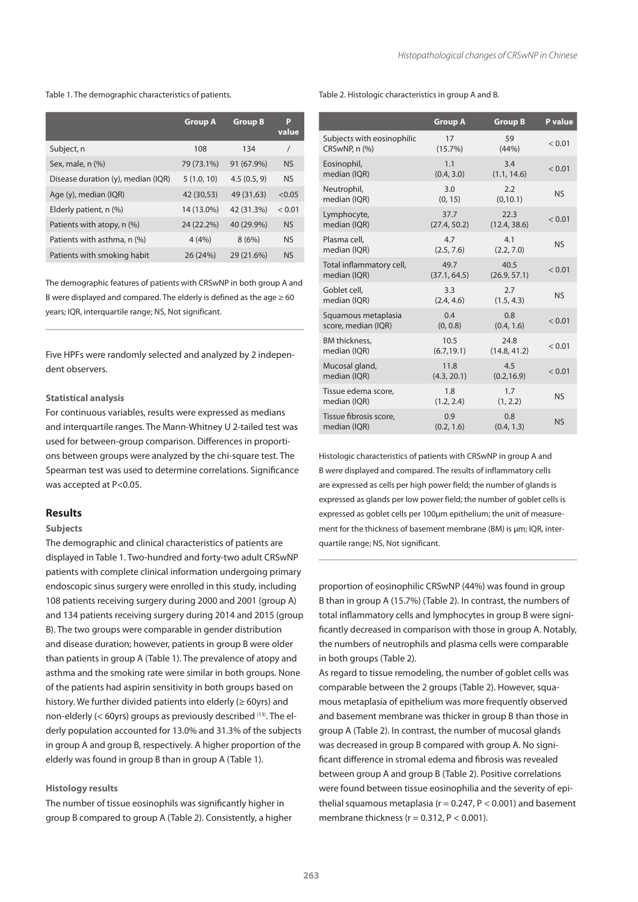Table 1. The demographic characteristics of patients.

|                                    | <b>Group A</b> | <b>Group B</b> | P<br>value |
|------------------------------------|----------------|----------------|------------|
| Subject, n                         | 108            | 134            | $\prime$   |
| Sex, male, n (%)                   | 79 (73.1%)     | 91 (67.9%)     | <b>NS</b>  |
| Disease duration (y), median (IQR) | 5(1.0, 10)     | 4.5(0.5, 9)    | <b>NS</b>  |
| Age (y), median (IQR)              | 42 (30,53)     | 49 (31,63)     | < 0.05     |
| Elderly patient, n (%)             | 14 (13.0%)     | 42 (31.3%)     | < 0.01     |
| Patients with atopy, n (%)         | 24 (22.2%)     | 40 (29.9%)     | <b>NS</b>  |
| Patients with asthma, n (%)        | 4(4%)          | 8(6%)          | <b>NS</b>  |
| Patients with smoking habit        | 26 (24%)       | 29 (21.6%)     | <b>NS</b>  |

The demographic features of patients with CRSwNP in both group A and B were displayed and compared. The elderly is defined as the age  $\geq 60$ years; IQR, interquartile range; NS, Not significant.

Five HPFs were randomly selected and analyzed by 2 independent observers.

# **Statistical analysis**

For continuous variables, results were expressed as medians and interquartile ranges. The Mann-Whitney U 2-tailed test was used for between-group comparison. Differences in proportions between groups were analyzed by the chi-square test. The Spearman test was used to determine correlations. Significance was accepted at P<0.05.

# **Results**

#### **Subjects**

The demographic and clinical characteristics of patients are displayed in Table 1. Two-hundred and forty-two adult CRSwNP patients with complete clinical information undergoing primary endoscopic sinus surgery were enrolled in this study, including 108 patients receiving surgery during 2000 and 2001 (group A) and 134 patients receiving surgery during 2014 and 2015 (group B). The two groups were comparable in gender distribution and disease duration; however, patients in group B were older than patients in group A (Table 1). The prevalence of atopy and asthma and the smoking rate were similar in both groups. None of the patients had aspirin sensitivity in both groups based on history. We further divided patients into elderly (≥ 60yrs) and non-elderly (< 60yrs) groups as previously described (13). The elderly population accounted for 13.0% and 31.3% of the subjects in group A and group B, respectively. A higher proportion of the elderly was found in group B than in group A (Table 1).

## **Histology results**

The number of tissue eosinophils was significantly higher in group B compared to group A (Table 2). Consistently, a higher

#### Table 2. Histologic characteristics in group A and B.

|                            | <b>Group A</b> | <b>Group B</b> | P value   |
|----------------------------|----------------|----------------|-----------|
| Subjects with eosinophilic | 17             | 59             | < 0.01    |
| CRSwNP, n (%)              | $(15.7\%)$     | (44% )         |           |
| Eosinophil,                | 1.1            | 3.4            | < 0.01    |
| median (IQR)               | (0.4, 3.0)     | (1.1, 14.6)    |           |
| Neutrophil,                | 3.0            | 2.2            | <b>NS</b> |
| median (IQR)               | (0, 15)        | (0, 10.1)      |           |
| Lymphocyte,                | 37.7           | 22.3           | < 0.01    |
| median (IQR)               | (27.4, 50.2)   | (12.4, 38.6)   |           |
| Plasma cell,               | 4.7            | 4.1            | <b>NS</b> |
| median (IQR)               | (2.5, 7.6)     | (2.2, 7.0)     |           |
| Total inflammatory cell,   | 49.7           | 40.5           | < 0.01    |
| median (IQR)               | (37.1, 64.5)   | (26.9, 57.1)   |           |
| Goblet cell,               | 3.3            | 2.7            | <b>NS</b> |
| median (IQR)               | (2.4, 4.6)     | (1.5, 4.3)     |           |
| Squamous metaplasia        | 0.4            | 0.8            | < 0.01    |
| score, median (IQR)        | (0, 0.8)       | (0.4, 1.6)     |           |
| <b>BM</b> thickness,       | 10.5           | 24.8           | < 0.01    |
| median (IQR)               | (6.7, 19.1)    | (14.8, 41.2)   |           |
| Mucosal gland,             | 11.8           | 4.5            | < 0.01    |
| median (IQR)               | (4.3, 20.1)    | (0.2, 16.9)    |           |
| Tissue edema score,        | 1.8            | 1.7            | <b>NS</b> |
| median (IQR)               | (1.2, 2.4)     | (1, 2.2)       |           |
| Tissue fibrosis score,     | 0.9            | 0.8            | <b>NS</b> |
| median (IQR)               | (0.2, 1.6)     | (0.4, 1.3)     |           |

Histologic characteristics of patients with CRSwNP in group A and B were displayed and compared. The results of inflammatory cells are expressed as cells per high power field; the number of glands is expressed as glands per low power field; the number of goblet cells is expressed as goblet cells per 100μm epithelium; the unit of measurement for the thickness of basement membrane (BM) is μm; IQR, interquartile range; NS, Not significant.

proportion of eosinophilic CRSwNP (44%) was found in group B than in group A (15.7%) (Table 2). In contrast, the numbers of total inflammatory cells and lymphocytes in group B were significantly decreased in comparison with those in group A. Notably, the numbers of neutrophils and plasma cells were comparable in both groups (Table 2).

As regard to tissue remodeling, the number of goblet cells was comparable between the 2 groups (Table 2). However, squamous metaplasia of epithelium was more frequently observed and basement membrane was thicker in group B than those in group A (Table 2). In contrast, the number of mucosal glands was decreased in group B compared with group A. No significant difference in stromal edema and fibrosis was revealed between group A and group B (Table 2). Positive correlations were found between tissue eosinophilia and the severity of epithelial squamous metaplasia ( $r = 0.247$ ,  $P < 0.001$ ) and basement membrane thickness ( $r = 0.312$ ,  $P < 0.001$ ).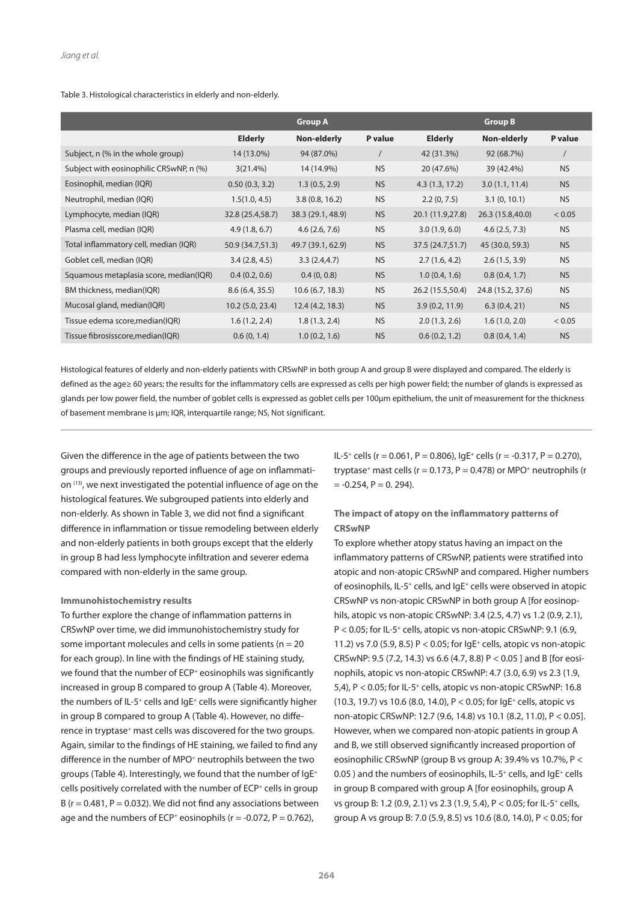## Table 3. Histological characteristics in elderly and non-elderly.

|                                         |                  | <b>Group A</b>    |           |                  | <b>Group B</b>    |            |
|-----------------------------------------|------------------|-------------------|-----------|------------------|-------------------|------------|
|                                         | <b>Elderly</b>   | Non-elderly       | P value   | <b>Elderly</b>   | Non-elderly       | P value    |
| Subject, n (% in the whole group)       | 14 (13.0%)       | 94 (87.0%)        |           | 42 (31.3%)       | 92 (68.7%)        | $\sqrt{2}$ |
| Subject with eosinophilic CRSwNP, n (%) | 3(21.4%)         | 14 (14.9%)        | <b>NS</b> | 20 (47.6%)       | 39 (42.4%)        | <b>NS</b>  |
| Eosinophil, median (IQR)                | 0.50(0.3, 3.2)   | 1.3(0.5, 2.9)     | <b>NS</b> | 4.3(1.3, 17.2)   | 3.0(1.1, 11.4)    | <b>NS</b>  |
| Neutrophil, median (IQR)                | 1.5(1.0, 4.5)    | 3.8(0.8, 16.2)    | <b>NS</b> | 2.2(0, 7.5)      | 3.1(0, 10.1)      | <b>NS</b>  |
| Lymphocyte, median (IQR)                | 32.8 (25.4,58.7) | 38.3 (29.1, 48.9) | <b>NS</b> | 20.1 (11.9,27.8) | 26.3 (15.8,40.0)  | < 0.05     |
| Plasma cell, median (IQR)               | 4.9(1.8, 6.7)    | 4.6(2.6, 7.6)     | <b>NS</b> | 3.0(1.9, 6.0)    | 4.6(2.5, 7.3)     | <b>NS</b>  |
| Total inflammatory cell, median (IQR)   | 50.9 (34.7,51.3) | 49.7 (39.1, 62.9) | <b>NS</b> | 37.5 (24.7,51.7) | 45 (30.0, 59.3)   | <b>NS</b>  |
| Goblet cell, median (IQR)               | 3.4(2.8, 4.5)    | 3.3(2.4, 4.7)     | <b>NS</b> | 2.7(1.6, 4.2)    | 2.6(1.5, 3.9)     | <b>NS</b>  |
| Squamous metaplasia score, median(IQR)  | 0.4(0.2, 0.6)    | 0.4(0, 0.8)       | <b>NS</b> | 1.0(0.4, 1.6)    | 0.8(0.4, 1.7)     | <b>NS</b>  |
| BM thickness, median(IQR)               | 8.6(6.4, 35.5)   | 10.6(6.7, 18.3)   | <b>NS</b> | 26.2 (15.5,50.4) | 24.8 (15.2, 37.6) | <b>NS</b>  |
| Mucosal gland, median(IQR)              | 10.2(5.0, 23.4)  | 12.4(4.2, 18.3)   | <b>NS</b> | 3.9(0.2, 11.9)   | 6.3(0.4, 21)      | <b>NS</b>  |
| Tissue edema score, median(IQR)         | 1.6(1.2, 2.4)    | 1.8(1.3, 2.4)     | <b>NS</b> | 2.0(1.3, 2.6)    | 1.6(1.0, 2.0)     | < 0.05     |
| Tissue fibrosisscore, median(IQR)       | 0.6(0, 1.4)      | 1.0(0.2, 1.6)     | <b>NS</b> | 0.6(0.2, 1.2)    | 0.8(0.4, 1.4)     | <b>NS</b>  |

Histological features of elderly and non-elderly patients with CRSwNP in both group A and group B were displayed and compared. The elderly is defined as the age≥ 60 years; the results for the inflammatory cells are expressed as cells per high power field; the number of glands is expressed as glands per low power field, the number of goblet cells is expressed as goblet cells per 100μm epithelium, the unit of measurement for the thickness of basement membrane is μm; IQR, interquartile range; NS, Not significant.

Given the difference in the age of patients between the two groups and previously reported influence of age on inflammation (13), we next investigated the potential influence of age on the histological features. We subgrouped patients into elderly and non-elderly. As shown in Table 3, we did not find a significant difference in inflammation or tissue remodeling between elderly and non-elderly patients in both groups except that the elderly in group B had less lymphocyte infiltration and severer edema compared with non-elderly in the same group.

# **Immunohistochemistry results**

To further explore the change of inflammation patterns in CRSwNP over time, we did immunohistochemistry study for some important molecules and cells in some patients ( $n = 20$ ) for each group). In line with the findings of HE staining study, we found that the number of ECP<sup>+</sup> eosinophils was significantly increased in group B compared to group A (Table 4). Moreover, the numbers of IL-5<sup>+</sup> cells and IgE<sup>+</sup> cells were significantly higher in group B compared to group A (Table 4). However, no difference in tryptase<sup>+</sup> mast cells was discovered for the two groups. Again, similar to the findings of HE staining, we failed to find any difference in the number of MPO<sup>+</sup> neutrophils between the two groups (Table 4). Interestingly, we found that the number of IgE+ cells positively correlated with the number of ECP<sup>+</sup> cells in group B ( $r = 0.481$ ,  $P = 0.032$ ). We did not find any associations between age and the numbers of ECP<sup>+</sup> eosinophils ( $r = -0.072$ ,  $P = 0.762$ ),

IL-5<sup>+</sup> cells (r = 0.061, P = 0.806),  $|qE^+|$  cells (r = -0.317, P = 0.270), tryptase<sup>+</sup> mast cells ( $r = 0.173$ ,  $P = 0.478$ ) or MPO<sup>+</sup> neutrophils (r  $= -0.254$ ,  $P = 0.294$ ).

# **The impact of atopy on the inflammatory patterns of CRSwNP**

To explore whether atopy status having an impact on the inflammatory patterns of CRSwNP, patients were stratified into atopic and non-atopic CRSwNP and compared. Higher numbers of eosinophils, IL-5+ cells, and IgE+ cells were observed in atopic CRSwNP vs non-atopic CRSwNP in both group A [for eosinophils, atopic vs non-atopic CRSwNP: 3.4 (2.5, 4.7) vs 1.2 (0.9, 2.1), P < 0.05; for IL-5<sup>+</sup> cells, atopic vs non-atopic CRSwNP: 9.1 (6.9, 11.2) vs 7.0 (5.9, 8.5)  $P < 0.05$ ; for  $IqE^+$  cells, atopic vs non-atopic CRSwNP: 9.5 (7.2, 14.3) vs 6.6 (4.7, 8.8) P < 0.05 ] and B [for eosinophils, atopic vs non-atopic CRSwNP: 4.7 (3.0, 6.9) vs 2.3 (1.9, 5,4), P < 0.05; for IL-5+ cells, atopic vs non-atopic CRSwNP: 16.8 (10.3, 19.7) vs 10.6 (8.0, 14.0), P < 0.05; for IgE+ cells, atopic vs non-atopic CRSwNP: 12.7 (9.6, 14.8) vs 10.1 (8.2, 11.0), P < 0.05]. However, when we compared non-atopic patients in group A and B, we still observed significantly increased proportion of eosinophilic CRSwNP (group B vs group A: 39.4% vs 10.7%, P < 0.05 ) and the numbers of eosinophils, IL-5<sup>+</sup> cells, and IgE<sup>+</sup> cells in group B compared with group A [for eosinophils, group A vs group B: 1.2 (0.9, 2.1) vs 2.3 (1.9, 5.4), P < 0.05; for IL-5+ cells, group A vs group B: 7.0 (5.9, 8.5) vs 10.6 (8.0, 14.0), P < 0.05; for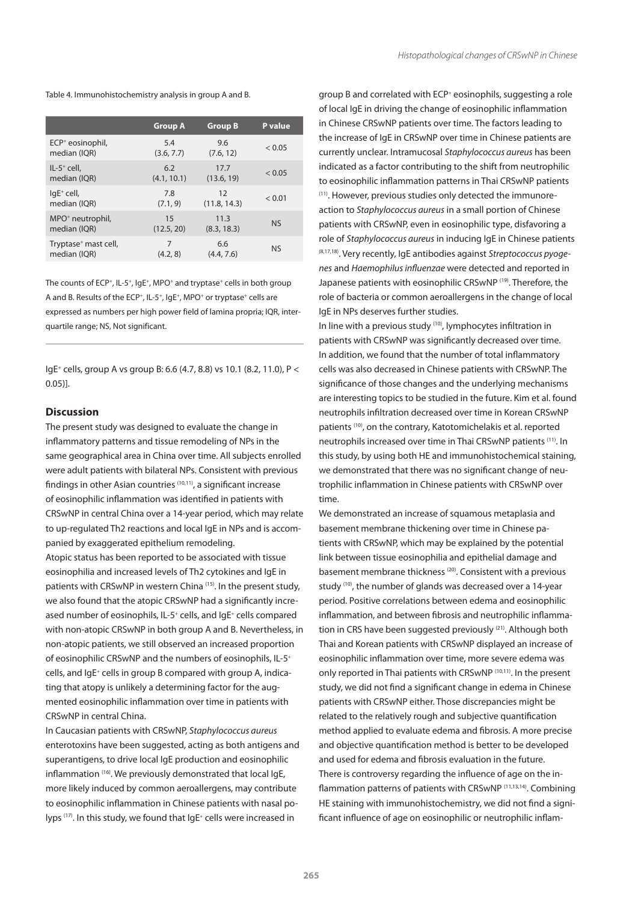|                                  | <b>Group A</b> | <b>Group B</b> | P value     |
|----------------------------------|----------------|----------------|-------------|
| $ECP+$ eosinophil,               | 5.4            | 9.6            | < 0.05      |
| median (IQR)                     | (3.6, 7.7)     | (7.6, 12)      |             |
| $IL-5^+$ cell,                   | 6.2            | 17.7           | ${}_{0.05}$ |
| median (IQR)                     | (4.1, 10.1)    | (13.6, 19)     |             |
| $IqE^+$ cell,                    | 7.8            | 12             | < 0.01      |
| median (IQR)                     | (7.1, 9)       | (11.8, 14.3)   |             |
| MPO <sup>+</sup> neutrophil,     | 15             | 11.3           | <b>NS</b>   |
| median (IQR)                     | (12.5, 20)     | (8.3, 18.3)    |             |
| Tryptase <sup>+</sup> mast cell, | 7              | 6.6            | <b>NS</b>   |
| median (IQR)                     | (4.2, 8)       | (4.4, 7.6)     |             |

The counts of ECP<sup>+</sup>, IL-5<sup>+</sup>, IgE<sup>+</sup>, MPO<sup>+</sup> and tryptase<sup>+</sup> cells in both group A and B. Results of the ECP<sup>+</sup>, IL-5<sup>+</sup>, IgE<sup>+</sup>, MPO<sup>+</sup> or tryptase<sup>+</sup> cells are expressed as numbers per high power field of lamina propria; IQR, interquartile range; NS, Not significant.

IgE+ cells, group A vs group B: 6.6 (4.7, 8.8) vs 10.1 (8.2, 11.0), P < 0.05)].

## **Discussion**

The present study was designed to evaluate the change in inflammatory patterns and tissue remodeling of NPs in the same geographical area in China over time. All subjects enrolled were adult patients with bilateral NPs. Consistent with previous findings in other Asian countries (10,11), a significant increase of eosinophilic inflammation was identified in patients with CRSwNP in central China over a 14-year period, which may relate to up-regulated Th2 reactions and local IgE in NPs and is accompanied by exaggerated epithelium remodeling. Atopic status has been reported to be associated with tissue

eosinophilia and increased levels of Th2 cytokines and IgE in patients with CRSwNP in western China (15). In the present study, we also found that the atopic CRSwNP had a significantly increased number of eosinophils, IL-5<sup>+</sup> cells, and IgE<sup>+</sup> cells compared with non-atopic CRSwNP in both group A and B. Nevertheless, in non-atopic patients, we still observed an increased proportion of eosinophilic CRSwNP and the numbers of eosinophils, IL-5+ cells, and IgE+ cells in group B compared with group A, indicating that atopy is unlikely a determining factor for the augmented eosinophilic inflammation over time in patients with CRSwNP in central China.

In Caucasian patients with CRSwNP, *Staphylococcus aureus* enterotoxins have been suggested, acting as both antigens and superantigens, to drive local IgE production and eosinophilic inflammation (16). We previously demonstrated that local IgE, more likely induced by common aeroallergens, may contribute to eosinophilic inflammation in Chinese patients with nasal polyps (17). In this study, we found that IgE<sup>+</sup> cells were increased in

group B and correlated with ECP<sup>+</sup> eosinophils, suggesting a role of local IgE in driving the change of eosinophilic inflammation in Chinese CRSwNP patients over time. The factors leading to the increase of IgE in CRSwNP over time in Chinese patients are currently unclear. Intramucosal *Staphylococcus aureus* has been indicated as a factor contributing to the shift from neutrophilic to eosinophilic inflammation patterns in Thai CRSwNP patients (11). However, previous studies only detected the immunoreaction to *Staphylococcus aureus* in a small portion of Chinese patients with CRSwNP, even in eosinophilic type, disfavoring a role of *Staphylococcus aureus* in inducing IgE in Chinese patients (8,17,18). Very recently, IgE antibodies against *Streptococcus pyogenes* and *Haemophilus influenzae* were detected and reported in Japanese patients with eosinophilic CRSwNP (19). Therefore, the role of bacteria or common aeroallergens in the change of local IgE in NPs deserves further studies.

In line with a previous study (10), lymphocytes infiltration in patients with CRSwNP was significantly decreased over time. In addition, we found that the number of total inflammatory cells was also decreased in Chinese patients with CRSwNP. The significance of those changes and the underlying mechanisms are interesting topics to be studied in the future. Kim et al. found neutrophils infiltration decreased over time in Korean CRSwNP patients (10), on the contrary, Katotomichelakis et al. reported neutrophils increased over time in Thai CRSwNP patients (11). In this study, by using both HE and immunohistochemical staining, we demonstrated that there was no significant change of neutrophilic inflammation in Chinese patients with CRSwNP over time.

We demonstrated an increase of squamous metaplasia and basement membrane thickening over time in Chinese patients with CRSwNP, which may be explained by the potential link between tissue eosinophilia and epithelial damage and basement membrane thickness (20). Consistent with a previous study (10), the number of glands was decreased over a 14-year period. Positive correlations between edema and eosinophilic inflammation, and between fibrosis and neutrophilic inflammation in CRS have been suggested previously (21). Although both Thai and Korean patients with CRSwNP displayed an increase of eosinophilic inflammation over time, more severe edema was only reported in Thai patients with CRSwNP (10,11). In the present study, we did not find a significant change in edema in Chinese patients with CRSwNP either. Those discrepancies might be related to the relatively rough and subjective quantification method applied to evaluate edema and fibrosis. A more precise and objective quantification method is better to be developed and used for edema and fibrosis evaluation in the future. There is controversy regarding the influence of age on the inflammation patterns of patients with CRSwNP (11,13,14). Combining HE staining with immunohistochemistry, we did not find a significant influence of age on eosinophilic or neutrophilic inflam-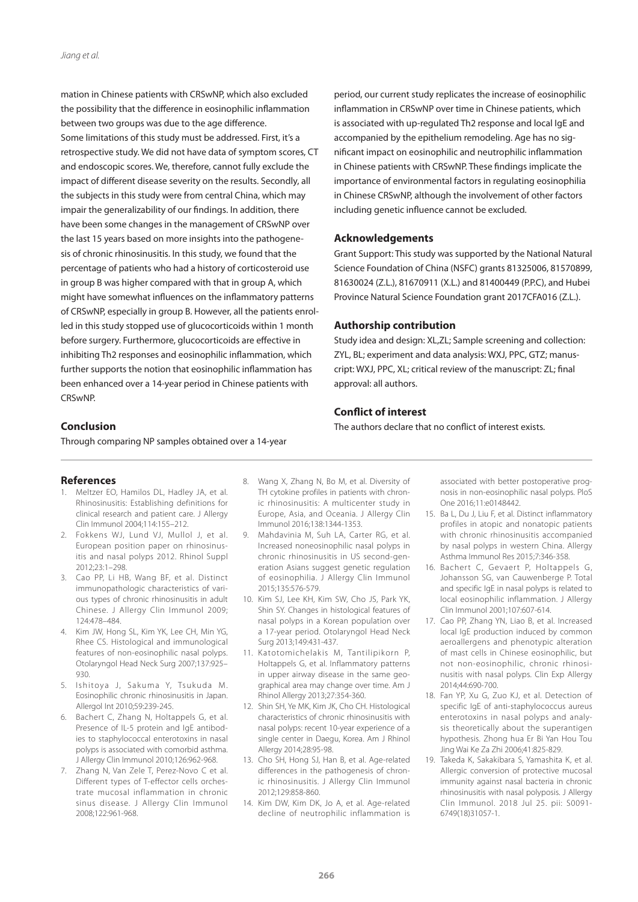mation in Chinese patients with CRSwNP, which also excluded the possibility that the difference in eosinophilic inflammation between two groups was due to the age difference. Some limitations of this study must be addressed. First, it's a retrospective study. We did not have data of symptom scores, CT and endoscopic scores. We, therefore, cannot fully exclude the impact of different disease severity on the results. Secondly, all the subjects in this study were from central China, which may impair the generalizability of our findings. In addition, there have been some changes in the management of CRSwNP over the last 15 years based on more insights into the pathogenesis of chronic rhinosinusitis. In this study, we found that the percentage of patients who had a history of corticosteroid use in group B was higher compared with that in group A, which might have somewhat influences on the inflammatory patterns of CRSwNP, especially in group B. However, all the patients enrolled in this study stopped use of glucocorticoids within 1 month before surgery. Furthermore, glucocorticoids are effective in inhibiting Th2 responses and eosinophilic inflammation, which further supports the notion that eosinophilic inflammation has been enhanced over a 14-year period in Chinese patients with CRSwNP.

period, our current study replicates the increase of eosinophilic inflammation in CRSwNP over time in Chinese patients, which is associated with up-regulated Th2 response and local IgE and accompanied by the epithelium remodeling. Age has no significant impact on eosinophilic and neutrophilic inflammation in Chinese patients with CRSwNP. These findings implicate the importance of environmental factors in regulating eosinophilia in Chinese CRSwNP, although the involvement of other factors including genetic influence cannot be excluded.

# **Acknowledgements**

Grant Support: This study was supported by the National Natural Science Foundation of China (NSFC) grants 81325006, 81570899, 81630024 (Z.L.), 81670911 (X.L.) and 81400449 (P.P.C), and Hubei Province Natural Science Foundation grant 2017CFA016 (Z.L.).

# **Authorship contribution**

Study idea and design: XL,ZL; Sample screening and collection: ZYL, BL; experiment and data analysis: WXJ, PPC, GTZ; manuscript: WXJ, PPC, XL; critical review of the manuscript: ZL; final approval: all authors.

# **Conflict of interest**

The authors declare that no conflict of interest exists.

# **Conclusion**

Through comparing NP samples obtained over a 14-year

# **References**

- 1. Meltzer EO, Hamilos DL, Hadley JA, et al. Rhinosinusitis: Establishing definitions for clinical research and patient care. J Allergy Clin Immunol 2004;114:155–212.
- 2. Fokkens WJ, Lund VJ, Mullol J, et al. European position paper on rhinosinusitis and nasal polyps 2012. Rhinol Suppl 2012;23:1–298.
- 3. Cao PP, Li HB, Wang BF, et al. Distinct immunopathologic characteristics of various types of chronic rhinosinusitis in adult Chinese. J Allergy Clin Immunol 2009; 124:478–484.
- 4. Kim JW, Hong SL, Kim YK, Lee CH, Min YG, Rhee CS. Histological and immunological features of non-eosinophilic nasal polyps. Otolaryngol Head Neck Surg 2007;137:925– 930.
- 5. Ishitoya J, Sakuma Y, Tsukuda M. Eosinophilic chronic rhinosinusitis in Japan. Allergol Int 2010;59:239-245.
- 6. Bachert C, Zhang N, Holtappels G, et al. Presence of IL-5 protein and IgE antibodies to staphylococcal enterotoxins in nasal polyps is associated with comorbid asthma. J Allergy Clin Immunol 2010;126:962-968.
- 7. Zhang N, Van Zele T, Perez-Novo C et al. Different types of T-effector cells orchestrate mucosal inflammation in chronic sinus disease. J Allergy Clin Immunol 2008;122:961-968.
- 8. Wang X, Zhang N, Bo M, et al. Diversity of TH cytokine profiles in patients with chronic rhinosinusitis: A multicenter study in Europe, Asia, and Oceania. J Allergy Clin Immunol 2016;138:1344-1353.
- 9. Mahdavinia M, Suh LA, Carter RG, et al. Increased noneosinophilic nasal polyps in chronic rhinosinusitis in US second-generation Asians suggest genetic regulation of eosinophilia. J Allergy Clin Immunol 2015;135:576-579.
- 10. Kim SJ, Lee KH, Kim SW, Cho JS, Park YK, Shin SY. Changes in histological features of nasal polyps in a Korean population over a 17-year period. Otolaryngol Head Neck Surg 2013;149:431-437.
- 11. Katotomichelakis M, Tantilipikorn P, Holtappels G, et al. Inflammatory patterns in upper airway disease in the same geographical area may change over time. Am J Rhinol Allergy 2013;27:354-360.
- 12. Shin SH, Ye MK, Kim JK, Cho CH. Histological characteristics of chronic rhinosinusitis with nasal polyps: recent 10-year experience of a single center in Daegu, Korea. Am J Rhinol Allergy 2014;28:95-98.
- 13. Cho SH, Hong SJ, Han B, et al. Age-related differences in the pathogenesis of chronic rhinosinusitis. J Allergy Clin Immunol 2012;129:858-860.
- 14. Kim DW, Kim DK, Jo A, et al. Age-related decline of neutrophilic inflammation is

associated with better postoperative prognosis in non-eosinophilic nasal polyps. PloS One 2016;11:e0148442.

- 15. Ba L, Du J, Liu F, et al. Distinct inflammatory profiles in atopic and nonatopic patients with chronic rhinosinusitis accompanied by nasal polyps in western China. Allergy Asthma Immunol Res 2015;7:346-358.
- 16. Bachert C, Gevaert P, Holtappels G, Johansson SG, van Cauwenberge P. Total and specific IgE in nasal polyps is related to local eosinophilic inflammation. J Allergy Clin Immunol 2001;107:607-614.
- 17. Cao PP, Zhang YN, Liao B, et al. Increased local IgE production induced by common aeroallergens and phenotypic alteration of mast cells in Chinese eosinophilic, but not non-eosinophilic, chronic rhinosinusitis with nasal polyps. Clin Exp Allergy 2014;44:690-700.
- 18. Fan YP, Xu G, Zuo KJ, et al. Detection of specific IgE of anti-staphylococcus aureus enterotoxins in nasal polyps and analysis theoretically about the superantigen hypothesis. Zhong hua Er Bi Yan Hou Tou Jing Wai Ke Za Zhi 2006;41:825-829.
- 19. Takeda K, Sakakibara S, Yamashita K, et al. Allergic conversion of protective mucosal immunity against nasal bacteria in chronic rhinosinusitis with nasal polyposis. J Allergy Clin Immunol. 2018 Jul 25. pii: S0091- 6749(18)31057-1.